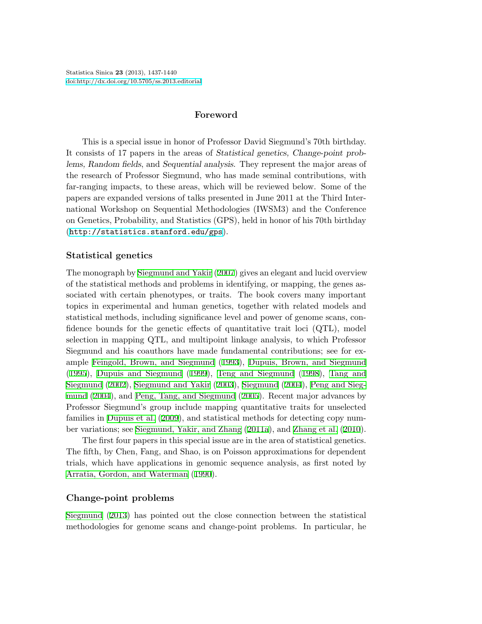# **Foreword**

This is a special issue in honor of Professor David Siegmund's 70th birthday. It consists of 17 papers in the areas of *Statistical genetics, Change-point problems, Random fields*, and *Sequential analysis*. They represent the major areas of the research of Professor Siegmund, who has made seminal contributions, with far-ranging impacts, to these areas, which will be reviewed below. Some of the papers are expanded versions of talks presented in June 2011 at the Third International Workshop on Sequential Methodologies (IWSM3) and the Conference on Genetics, Probability, and Statistics (GPS), held in honor of his 70th birthday ([http://statistics.stanford.edu/gps](http://statistics. stanford.edu/gps)).

# **Statistical genetics**

The monograph by [Siegmund and Yakir](#page-3-0) [\(2007\)](#page-3-0) gives an elegant and lucid overview of the statistical methods and problems in identifying, or mapping, the genes associated with certain phenotypes, or traits. The book covers many important topics in experimental and human genetics, together with related models and statistical methods, including significance level and power of genome scans, confidence bounds for the genetic effects of quantitative trait loci (QTL), model selection in mapping QTL, and multipoint linkage analysis, to which Professor Siegmund and his coauthors have made fundamental contributions; see for example [Feingold, Brown, and Siegmund](#page-2-0) ([1993\)](#page-2-0), [Dupuis, Brown, and Siegmund](#page-2-1) [\(1995](#page-2-1)), [Dupuis and Siegmund](#page-2-2) [\(1999\)](#page-2-2), [Teng and Siegmund](#page-3-1) ([1998](#page-3-1)), [Tang and](#page-3-2) [Siegmund](#page-3-2) [\(2002\)](#page-3-2), [Siegmund and Yakir](#page-3-3) [\(2003\)](#page-3-3), [Siegmund](#page-3-4) ([2004\)](#page-3-4), [Peng and Sieg](#page-2-3)[mund](#page-2-3) [\(2004](#page-2-3)), and [Peng, Tang, and Siegmund](#page-2-4) ([2005\)](#page-2-4). Recent major advances by Professor Siegmund's group include mapping quantitative traits for unselected families in [Dupuis et al.](#page-2-5) [\(2009\)](#page-2-5), and statistical methods for detecting copy number variations; see [Siegmund, Yakir, and Zhang](#page-3-5) [\(2011a\)](#page-3-5), and [Zhang et al.](#page-3-6) [\(2010](#page-3-6)).

The first four papers in this special issue are in the area of statistical genetics. The fifth, by Chen, Fang, and Shao, is on Poisson approximations for dependent trials, which have applications in genomic sequence analysis, as first noted by [Arratia, Gordon, and Waterman](#page-2-6) ([1990\)](#page-2-6).

## **Change-point problems**

[Siegmund](#page-3-7) [\(2013](#page-3-7)) has pointed out the close connection between the statistical methodologies for genome scans and change-point problems. In particular, he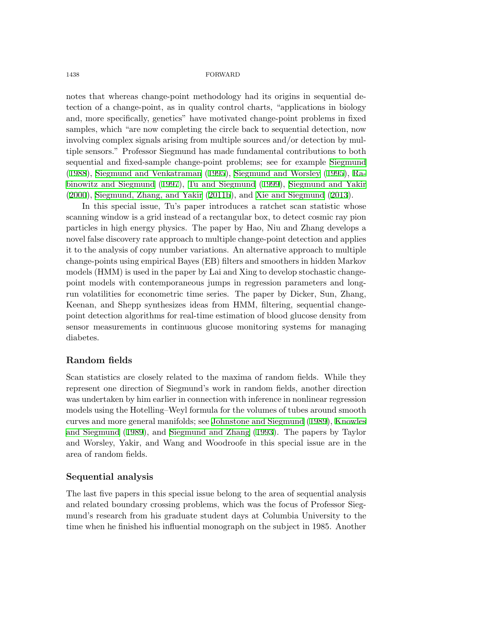#### 1438 FORWARD

notes that whereas change-point methodology had its origins in sequential detection of a change-point, as in quality control charts, "applications in biology and, more specifically, genetics" have motivated change-point problems in fixed samples, which "are now completing the circle back to sequential detection, now involving complex signals arising from multiple sources and/or detection by multiple sensors." Professor Siegmund has made fundamental contributions to both sequential and fixed-sample change-point problems; see for example [Siegmund](#page-3-8) [\(1988](#page-3-8)), [Siegmund and Venkatraman](#page-3-9) [\(1995](#page-3-9)), [Siegmund and Worsley](#page-3-10) [\(1995](#page-3-10)), [Ra](#page-2-7)[binowitz and Siegmund](#page-2-7) [\(1997](#page-2-7)), [Tu and Siegmund](#page-3-11) [\(1999](#page-3-11)), [Siegmund and Yakir](#page-3-12) [\(2000](#page-3-12)), [Siegmund, Zhang, and Yakir](#page-3-13) [\(2011b](#page-3-13)), and [Xie and Siegmund](#page-3-14) [\(2013](#page-3-14)).

In this special issue, Tu's paper introduces a ratchet scan statistic whose scanning window is a grid instead of a rectangular box, to detect cosmic ray pion particles in high energy physics. The paper by Hao, Niu and Zhang develops a novel false discovery rate approach to multiple change-point detection and applies it to the analysis of copy number variations. An alternative approach to multiple change-points using empirical Bayes (EB) filters and smoothers in hidden Markov models (HMM) is used in the paper by Lai and Xing to develop stochastic changepoint models with contemporaneous jumps in regression parameters and longrun volatilities for econometric time series. The paper by Dicker, Sun, Zhang, Keenan, and Shepp synthesizes ideas from HMM, filtering, sequential changepoint detection algorithms for real-time estimation of blood glucose density from sensor measurements in continuous glucose monitoring systems for managing diabetes.

# **Random fields**

Scan statistics are closely related to the maxima of random fields. While they represent one direction of Siegmund's work in random fields, another direction was undertaken by him earlier in connection with inference in nonlinear regression models using the Hotelling–Weyl formula for the volumes of tubes around smooth curves and more general manifolds; see [Johnstone and Siegmund](#page-2-8) ([1989](#page-2-8)), [Knowles](#page-2-9) [and Siegmund](#page-2-9) [\(1989](#page-2-9)), and [Siegmund and Zhang](#page-3-15) [\(1993](#page-3-15)). The papers by Taylor and Worsley, Yakir, and Wang and Woodroofe in this special issue are in the area of random fields.

### **Sequential analysis**

The last five papers in this special issue belong to the area of sequential analysis and related boundary crossing problems, which was the focus of Professor Siegmund's research from his graduate student days at Columbia University to the time when he finished his influential monograph on the subject in 1985. Another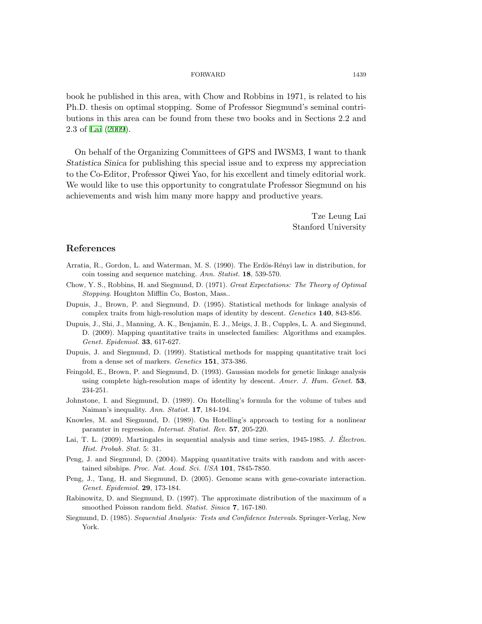#### FORWARD 1439

book he published in this area, with Chow and Robbins in 1971, is related to his Ph.D. thesis on optimal stopping. Some of Professor Siegmund's seminal contributions in this area can be found from these two books and in Sections 2.2 and 2.3 of [Lai](#page-2-10) [\(2009\)](#page-2-10).

On behalf of the Organizing Committees of GPS and IWSM3, I want to thank *Statistica Sinica* for publishing this special issue and to express my appreciation to the Co-Editor, Professor Qiwei Yao, for his excellent and timely editorial work. We would like to use this opportunity to congratulate Professor Siegmund on his achievements and wish him many more happy and productive years.

> Tze Leung Lai Stanford University

### **References**

- <span id="page-2-6"></span>Arratia, R., Gordon, L. and Waterman, M. S. (1990). The Erdös-Rényi law in distribution, for coin tossing and sequence matching. *Ann. Statist.* **18**, 539-570.
- Chow, Y. S., Robbins, H. and Siegmund, D. (1971). *Great Expectations: The Theory of Optimal Stopping*. Houghton Mifflin Co, Boston, Mass..
- <span id="page-2-1"></span>Dupuis, J., Brown, P. and Siegmund, D. (1995). Statistical methods for linkage analysis of complex traits from high-resolution maps of identity by descent. *Genetics* **140**, 843-856.
- <span id="page-2-5"></span>Dupuis, J., Shi, J., Manning, A. K., Benjamin, E. J., Meigs, J. B., Cupples, L. A. and Siegmund, D. (2009). Mapping quantitative traits in unselected families: Algorithms and examples. *Genet. Epidemiol.* **33**, 617-627.
- <span id="page-2-2"></span>Dupuis, J. and Siegmund, D. (1999). Statistical methods for mapping quantitative trait loci from a dense set of markers. *Genetics* **151**, 373-386.
- <span id="page-2-0"></span>Feingold, E., Brown, P. and Siegmund, D. (1993). Gaussian models for genetic linkage analysis using complete high-resolution maps of identity by descent. *Amer. J. Hum. Genet.* **53**, 234-251.
- <span id="page-2-8"></span>Johnstone, I. and Siegmund, D. (1989). On Hotelling's formula for the volume of tubes and Naiman's inequality. *Ann. Statist.* **17**, 184-194.
- <span id="page-2-9"></span>Knowles, M. and Siegmund, D. (1989). On Hotelling's approach to testing for a nonlinear paramter in regression. *Internat. Statist. Rev.* **57**, 205-220.
- <span id="page-2-10"></span>Lai, T. L. (2009). Martingales in sequential analysis and time series, 1945-1985. *J. Electron. ´ Hist. Probab. Stat.* 5: 31.
- <span id="page-2-3"></span>Peng, J. and Siegmund, D. (2004). Mapping quantitative traits with random and with ascertained sibships. *Proc. Nat. Acad. Sci. USA* **101**, 7845-7850.
- <span id="page-2-4"></span>Peng, J., Tang, H. and Siegmund, D. (2005). Genome scans with gene-covariate interaction. *Genet. Epidemiol.* **29**, 173-184.
- <span id="page-2-7"></span>Rabinowitz, D. and Siegmund, D. (1997). The approximate distribution of the maximum of a smoothed Poisson random field. *Statist. Sinica* **7**, 167-180.
- Siegmund, D. (1985). *Sequential Analysis: Tests and Confidence Intervals*. Springer-Verlag, New York.